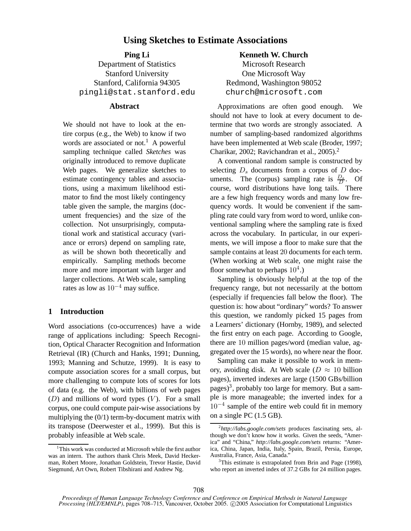# **Using Sketches to Estimate Associations**

# **Ping Li**

Department of Statistics Stanford University Stanford, California 94305 pingli@stat.stanford.edu

### **Abstract**

We should not have to look at the entire corpus (e.g., the Web) to know if two words are associated or not.<sup>1</sup> A powerful sampling technique called *Sketches* was originally introduced to remove duplicate Web pages. We generalize sketches to estimate contingency tables and associations, using a maximum likelihood estimator to find the most likely contingency table given the sample, the margins (document frequencies) and the size of the collection. Not unsurprisingly, computational work and statistical accuracy (variance or errors) depend on sampling rate, as will be shown both theoretically and empirically. Sampling methods become more and more important with larger and larger collections. At Web scale, sampling rates as low as  $10^{-4}$  may suffice.

# **1 Introduction**

Word associations (co-occurrences) have a wide range of applications including: Speech Recognition, Optical Character Recognition and Information Retrieval (IR) (Church and Hanks, 1991; Dunning, 1993; Manning and Schutze, 1999). It is easy to compute association scores for a small corpus, but more challenging to compute lots of scores for lots of data (e.g. the Web), with billions of web pages  $(D)$  and millions of word types  $(V)$ . For a small corpus, one could compute pair-wise associations by multiplying the (0/1) term-by-document matrix with its transpose (Deerwester et al., 1999). But this is probably infeasible at Web scale.

**Kenneth W. Church** Microsoft Research One Microsoft Way Redmond, Washington 98052 church@microsoft.com

Approximations are often good enough. We should not have to look at every document to determine that two words are strongly associated. A number of sampling-based randomized algorithms have been implemented at Web scale (Broder, 1997; Charikar, 2002; Ravichandran et al., 2005).<sup>2</sup>

A conventional random sample is constructed by selecting  $D_s$  documents from a corpus of  $D$  documents. The (corpus) sampling rate is  $\frac{D_s}{D}$ . Of course, word distributions have long tails. There are a few high frequency words and many low frequency words. It would be convenient if the sampling rate could vary from word to word, unlike conventional sampling where the sampling rate is fixed across the vocabulary. In particular, in our experiments, we will impose a floor to make sure that the sample contains at least 20 documents for each term. (When working at Web scale, one might raise the floor somewhat to perhaps  $10^4$ .)

Sampling is obviously helpful at the top of the frequency range, but not necessarily at the bottom (especially if frequencies fall below the floor). The question is: how about "ordinary" words? To answer this question, we randomly picked 15 pages from a Learners' dictionary (Hornby, 1989), and selected the first entry on each page. According to Google, there are 10 million pages/word (median value, aggregated over the 15 words), no where near the floor.

Sampling can make it possible to work in memory, avoiding disk. At Web scale ( $D \approx 10$  billion pages), inverted indexes are large (1500 GBs/billion pages)<sup>3</sup>, probably too large for memory. But a sample is more manageable; the inverted index for a  $10^{-4}$  sample of the entire web could fit in memory on a single PC (1.5 GB).

<sup>&</sup>lt;sup>1</sup>This work was conducted at Microsoft while the first author was an intern. The authors thank Chris Meek, David Heckerman, Robert Moore, Jonathan Goldstein, Trevor Hastie, David Siegmund, Art Own, Robert Tibshirani and Andrew Ng.

<sup>2</sup> *http://labs.google.com/sets* produces fascinating sets, although we don't know how it works. Given the seeds, "America" and "China," *http://labs.google.com/sets* returns: "America, China, Japan, India, Italy, Spain, Brazil, Persia, Europe, Australia, France, Asia, Canada."

<sup>&</sup>lt;sup>3</sup>This estimate is extrapolated from Brin and Page (1998), who report an inverted index of 37.2 GBs for 24 million pages.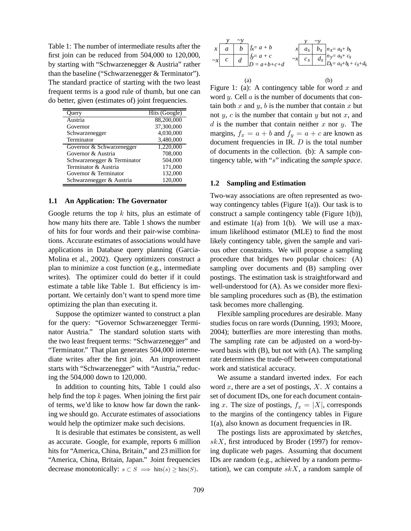Table 1: The number of intermediate results after the first join can be reduced from 504,000 to 120,000, by starting with "Schwarzenegger & Austria" rather than the baseline ("Schwarzenegger & Terminator"). The standard practice of starting with the two least frequent terms is a good rule of thumb, but one can do better, given (estimates of) joint frequencies.

| Query                       | Hits (Google) |
|-----------------------------|---------------|
| Austria                     | 88,200,000    |
| Governor                    | 37,300,000    |
| Schwarzenegger              | 4,030,000     |
| Terminator                  | 3,480,000     |
| Governor & Schwarzenegger   | 1,220,000     |
| Governor & Austria          | 708,000       |
| Schwarzenegger & Terminator | 504,000       |
| Terminator & Austria        | 171,000       |
| Governor & Terminator       | 132,000       |
| Schwarzenegger & Austria    | 120,000       |

#### **1.1 An Application: The Governator**

Google returns the top  $k$  hits, plus an estimate of how many hits there are. Table 1 shows the number of hits for four words and their pair-wise combinations. Accurate estimates of associations would have applications in Database query planning (Garcia-Molina et al., 2002). Query optimizers construct a plan to minimize a cost function (e.g., intermediate writes). The optimizer could do better if it could estimate a table like Table 1. But efficiency is important. We certainly don't want to spend more time optimizing the plan than executing it.

Suppose the optimizer wanted to construct a plan for the query: "Governor Schwarzenegger Terminator Austria." The standard solution starts with the two least frequent terms: "Schwarzenegger" and "Terminator." That plan generates 504,000 intermediate writes after the first join. An improvement starts with "Schwarzenegger" with "Austria," reducing the 504,000 down to 120,000.

In addition to counting hits, Table 1 could also help find the top  $k$  pages. When joining the first pair of terms, we'd like to know how far down the ranking we should go. Accurate estimates of associations would help the optimizer make such decisions.

It is desirable that estimates be consistent, as well as accurate. Google, for example, reports 6 million hits for "America, China, Britain," and 23 million for "America, China, Britain, Japan." Joint frequencies decrease monotonically:  $s \subset S \implies \text{hits}(s) > \text{hits}(S)$ .

$$
\begin{array}{c|c}\ny & \sim y \\
x & a & b \\
\hline\n\sim x & c & d\n\end{array}\n\quad\n\begin{array}{c|c}\ny & \sim y \\
f_x = a + b & x & a_s & b_s \\
f_y = a + c & x & c_s & d_s \\
D = a + b + c + d & x & c_s & d_s & b_s \\
\hline\n\end{array}\n\quad\n\begin{array}{c|c}\nx = a_s + b_s \\
n_x = a_s + b_s \\
n_y = a_s + c_s\n\end{array}
$$

(a) (b) Figure 1: (a): A contingency table for word  $x$  and word  $y$ . Cell  $a$  is the number of documents that contain both x and y, b is the number that contain x but not  $y$ ,  $c$  is the number that contain  $y$  but not  $x$ , and  $d$  is the number that contain neither  $x$  nor  $y$ . The margins,  $f_x = a + b$  and  $f_y = a + c$  are known as document frequencies in IR.  $D$  is the total number of documents in the collection. (b): A sample contingency table, with "s" indicating the *sample space*.

#### **1.2 Sampling and Estimation**

Two-way associations are often represented as twoway contingency tables (Figure 1(a)). Our task is to construct a sample contingency table (Figure 1(b)), and estimate 1(a) from 1(b). We will use a maximum likelihood estimator (MLE) to find the most likely contingency table, given the sample and various other constraints. We will propose a sampling procedure that bridges two popular choices: (A) sampling over documents and (B) sampling over postings. The estimation task is straightforward and well-understood for (A). As we consider more flexible sampling procedures such as (B), the estimation task becomes more challenging.

Flexible sampling procedures are desirable. Many studies focus on rare words (Dunning, 1993; Moore, 2004); butterflies are more interesting than moths. The sampling rate can be adjusted on a word-byword basis with (B), but not with (A). The sampling rate determines the trade-off between computational work and statistical accuracy.

We assume a standard inverted index. For each word  $x$ , there are a set of postings,  $X$ .  $X$  contains a set of document IDs, one for each document containing x. The size of postings,  $f_x = |X|$ , corresponds to the margins of the contingency tables in Figure 1(a), also known as document frequencies in IR.

The postings lists are approximated by *sketches*,  $skX$ , first introduced by Broder (1997) for removing duplicate web pages. Assuming that document IDs are random (e.g., achieved by a random permutation), we can compute  $skX$ , a random sample of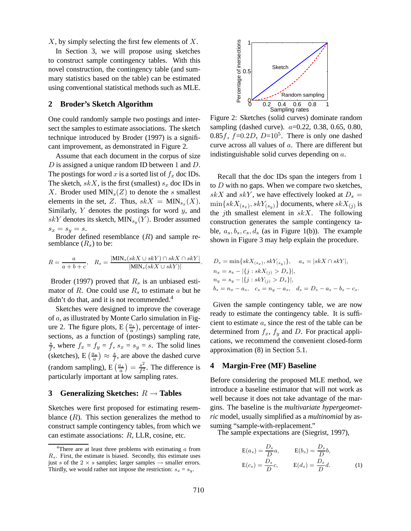$X$ , by simply selecting the first few elements of  $X$ .

In Section 3, we will propose using sketches to construct sample contingency tables. With this novel construction, the contingency table (and summary statistics based on the table) can be estimated using conventional statistical methods such as MLE.

# **2 Broder's Sketch Algorithm**

One could randomly sample two postings and intersect the samples to estimate associations. The sketch technique introduced by Broder (1997) is a significant improvement, as demonstrated in Figure 2.

Assume that each document in the corpus of size  $D$  is assigned a unique random ID between 1 and  $D$ . The postings for word x is a sorted list of  $f<sub>x</sub>$  doc IDs. The sketch,  $skX$ , is the first (smallest)  $s_x$  doc IDs in X. Broder used  $MIN_s(Z)$  to denote the s smallest elements in the set, Z. Thus,  $skX = MIN_{s_x}(X)$ . Similarly,  $Y$  denotes the postings for word  $y$ , and  $skY$  denotes its sketch,  $\text{MIN}_{s_y}(Y)$ . Broder assumed  $s_x = s_y = s$ .

Broder defined resemblance  $(R)$  and sample resemblance  $(R_s)$  to be:

$$
R = \frac{a}{a+b+c}, \quad R_s = \frac{|\text{MIN}_s(skX \cup skY) \cap skX \cap skY|}{|\text{MIN}_s(skX \cup skY)|}.
$$

Broder (1997) proved that  $R_s$  is an unbiased estimator of  $R$ . One could use  $R_s$  to estimate  $a$  but he didn't do that, and it is not recommended.<sup>4</sup>

Sketches were designed to improve the coverage of a, as illustrated by Monte Carlo simulation in Figure 2. The figure plots,  $E\left(\frac{a_s}{a}\right)$ , percentage of intersections, as a function of (postings) sampling rate, s  $\frac{s}{f}$ , where  $f_x = f_y = f$ ,  $s_x = s_y = s$ . The solid lines (sketches), E $\left(\frac{a_s}{a}\right) \approx \frac{s}{f}$  $\frac{s}{f}$ , are above the dashed curve (random sampling),  $E\left(\frac{a_s}{a}\right) = \frac{s^2}{f^2}$  $\frac{s^2}{f^2}$ . The difference is particularly important at low sampling rates.

#### **3 Generalizing Sketches:** <sup>R</sup> <sup>→</sup> **Tables**

Sketches were first proposed for estimating resemblance  $(R)$ . This section generalizes the method to construct sample contingency tables, from which we can estimate associations: R, LLR, cosine, etc.



Figure 2: Sketches (solid curves) dominate random sampling (dashed curve).  $a=0.22, 0.38, 0.65, 0.80,$ 0.85 $f$ ,  $f=0.2D$ ,  $D=10^5$ . There is only one dashed curve across all values of a. There are different but indistinguishable solid curves depending on a.

Recall that the doc IDs span the integers from 1 to  $D$  with no gaps. When we compare two sketches, skX and skY, we have effectively looked at  $D_s =$  $\min\{skX_{(s_x)}, skY_{(s_y)}\}$  documents, where  $skX_{(j)}$  is the *j*th smallest element in  $skX$ . The following construction generates the sample contingency table,  $a_s, b_s, c_s, d_s$  (as in Figure 1(b)). The example shown in Figure 3 may help explain the procedure.

$$
D_s = \min\{skX_{(s_x)}, skY_{(s_y)}\}, \quad a_s = |skX \cap skY|,
$$
  
\n
$$
n_x = s_x - |\{j : skX_{(j)} > D_s\}|,
$$
  
\n
$$
n_y = s_y - |\{j : skY_{(j)} > D_s\}|,
$$
  
\n
$$
b_s = n_x - a_s, \quad c_s = n_y - a_s, \quad d_s = D_s - a_s - b_s - c_s.
$$

Given the sample contingency table, we are now ready to estimate the contingency table. It is sufficient to estimate a, since the rest of the table can be determined from  $f_x$ ,  $f_y$  and D. For practical applications, we recommend the convenient closed-form approximation (8) in Section 5.1.

#### **4 Margin-Free (MF) Baseline**

Before considering the proposed MLE method, we introduce a baseline estimator that will not work as well because it does not take advantage of the margins. The baseline is the *multivariate hypergeometric* model, usually simplified as a *multinomial* by assuming "sample-with-replacement."

The sample expectations are (Siegrist, 1997),

$$
E(a_s) = \frac{D_s}{D}a, \qquad E(b_s) = \frac{D_s}{D}b,
$$
  

$$
E(c_s) = \frac{D_s}{D}c, \qquad E(d_s) = \frac{D_s}{D}d.
$$
 (1)

<sup>&</sup>lt;sup>4</sup>There are at least three problems with estimating  $a$  from  $R_s$ . First, the estimate is biased. Secondly, this estimate uses just s of the  $2 \times s$  samples; larger samples  $\rightarrow$  smaller errors. Thirdly, we would rather not impose the restriction:  $s_x = s_y$ .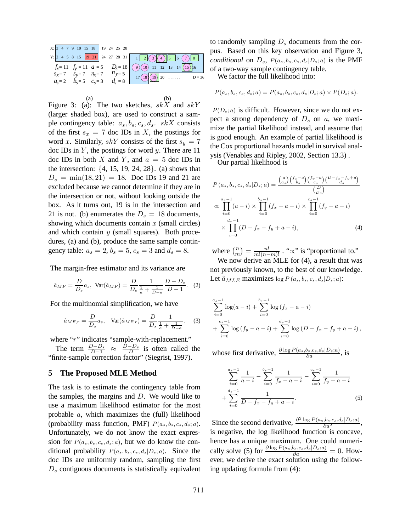

Figure 3: (a): The two sketches,  $skX$  and  $skY$ (larger shaded box), are used to construct a sample contingency table:  $a_s, b_s, c_s, d_s$ . skX consists of the first  $s_x = 7$  doc IDs in X, the postings for word x. Similarly,  $skY$  consists of the first  $s_y = 7$ doc IDs in  $Y$ , the postings for word  $y$ . There are 11 doc IDs in both X and Y, and  $a = 5$  doc IDs in the intersection:  $\{4, 15, 19, 24, 28\}$ . (a) shows that  $D_s = \min(18, 21) = 18$ . Doc IDs 19 and 21 are excluded because we cannot determine if they are in the intersection or not, without looking outside the box. As it turns out, 19 is in the intersection and 21 is not. (b) enumerates the  $D_s = 18$  documents, showing which documents contain  $x$  (small circles) and which contain  $y$  (small squares). Both procedures, (a) and (b), produce the same sample contingency table:  $a_s = 2$ ,  $b_s = 5$ ,  $c_s = 3$  and  $d_s = 8$ .

The margin-free estimator and its variance are

$$
\hat{a}_{MF} = \frac{D}{D_s} a_s
$$
,  $Var(\hat{a}_{MF}) = \frac{D}{D_s} \frac{1}{\frac{1}{a} + \frac{1}{D-a}} \frac{D - D_s}{D - 1}$ . (2)

For the multinomial simplification, we have

$$
\hat{a}_{MF,r} = \frac{D}{D_s} a_s, \quad \text{Var}(\hat{a}_{MF,r}) = \frac{D}{D_s} \frac{1}{\frac{1}{a} + \frac{1}{D-a}}.
$$
 (3)

where "r" indicates "sample-with-replacement."

The term  $\frac{D-D_s}{D-1} \approx \frac{D-D_s}{D}$  is often called the "finite-sample correction factor" (Siegrist, 1997).

### **5 The Proposed MLE Method**

The task is to estimate the contingency table from the samples, the margins and  $D$ . We would like to use a maximum likelihood estimator for the most probable a, which maximizes the (full) likelihood (probability mass function, PMF)  $P(a_s, b_s, c_s, d_s; a)$ . Unfortunately, we do not know the exact expression for  $P(a_s, b_s, c_s, d_s; a)$ , but we do know the conditional probability  $P(a_s, b_s, c_s, d_s|D_s; a)$ . Since the doc IDs are uniformly random, sampling the first  $D<sub>s</sub>$  contiguous documents is statistically equivalent to randomly sampling  $D_s$  documents from the corpus. Based on this key observation and Figure 3, *conditional* on  $D_s$ ,  $P(a_s, b_s, c_s, d_s | D_s; a)$  is the PMF of a two-way sample contingency table.

We factor the full likelihood into:

$$
P(as, bs, cs, ds; a) = P(as, bs, cs, ds | Ds; a) \times P(Ds; a).
$$

 $P(D_s; a)$  is difficult. However, since we do not expect a strong dependency of  $D_s$  on a, we maximize the partial likelihood instead, and assume that is good enough. An example of partial likelihood is the Cox proportional hazards model in survival analysis (Venables and Ripley, 2002, Section 13.3) .

Our partial likelihood is

$$
P(a_s, b_s, c_s, d_s | D_s; a) = \frac{\binom{a}{a_s} \binom{f_x - a}{b_s} \binom{f_y - a}{c_s} \binom{D - f_x - f_y + a}{d_s}}{\binom{D}{D_s}}
$$
  
 
$$
\propto \prod_{i=0}^{a_s - 1} (a - i) \times \prod_{i=0}^{b_s - 1} (f_x - a - i) \times \prod_{i=0}^{c_s - 1} (f_y - a - i)
$$
  
 
$$
\times \prod_{i=0}^{d_s - 1} (D - f_x - f_y + a - i), \tag{4}
$$

where  $\binom{n}{m}$  $\binom{n}{m} = \frac{n!}{m!(n-m)!}$ . " $\propto$ " is "proportional to."

We now derive an MLE for (4), a result that was not previously known, to the best of our knowledge. Let  $\hat{a}_{MLE}$  maximizes  $\log P(a_s, b_s, c_s, d_s|D_s; a)$ :

$$
\sum_{i=0}^{a_s-1} \log(a-i) + \sum_{i=0}^{b_s-1} \log(f_x - a - i)
$$
  
+ 
$$
\sum_{i=0}^{c_s-1} \log(f_y - a - i) + \sum_{i=0}^{d_s-1} \log(D - f_x - f_y + a - i),
$$

whose first derivative,  $\frac{\partial \log P(a_s, b_s, c_s, d_s | D_s; a)}{\partial a}$ , is

$$
\sum_{i=0}^{a_s-1} \frac{1}{a-i} - \sum_{i=0}^{b_s-1} \frac{1}{f_x - a - i} - \sum_{i=0}^{c_s-1} \frac{1}{f_y - a - i}
$$
  
+ 
$$
\sum_{i=0}^{d_s-1} \frac{1}{D - f_x - f_y + a - i}.
$$
 (5)

Since the second derivative,  $\frac{\partial^2 \log P(a_s, b_s, c_s, d_s | D_s; a)}{\partial a^2}$ , is negative, the log likelihood function is concave, hence has a unique maximum. One could numerically solve (5) for  $\frac{\partial \log P(a_s, b_s, c_s, d_s | D_s; a)}{\partial a} = 0$ . However, we derive the exact solution using the following updating formula from (4):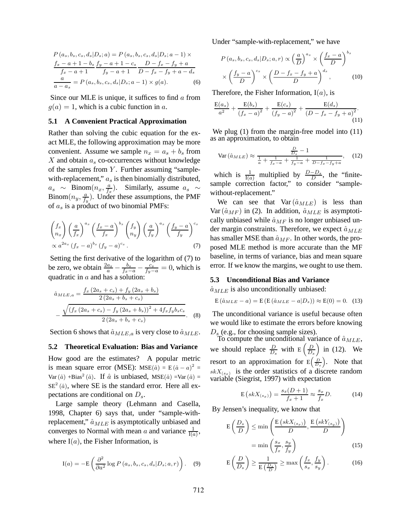$$
P(a_s, b_s, c_s, d_s | D_s; a) = P(a_s, b_s, c_s, d_s | D_s; a - 1) \times
$$
  

$$
\frac{f_x - a + 1 - b_s}{f_x - a + 1} \frac{f_y - a + 1 - c_s}{f_y - a + 1} \frac{D - f_x - f_y + a}{D - f_x - f_y + a - d_s}
$$
  

$$
\frac{a}{a - a_s} = P(a_s, b_s, c_s, d_s | D_s; a - 1) \times g(a).
$$
 (6)

Since our MLE is unique, it suffices to find  $\alpha$  from  $g(a) = 1$ , which is a cubic function in a.

#### **5.1 A Convenient Practical Approximation**

Rather than solving the cubic equation for the exact MLE, the following approximation may be more convenient. Assume we sample  $n_x = a_s + b_s$  from X and obtain  $a_s$  co-occurrences without knowledge of the samples from  $Y$ . Further assuming "samplewith-replacement,"  $a_s$  is then binomially distributed,  $a_s \sim \text{Binom}(n_x, \frac{a}{f_a})$  $\frac{a}{f_x}$ ). Similarly, assume  $a_s \sim$ Binom $(n_y, \frac{a}{f_y})$  $\frac{a}{f_y}$ ). Under these assumptions, the PMF of  $a_s$  is a product of two binomial PMFs:

$$
\binom{f_x}{n_x} \left(\frac{a}{f_x}\right)^{a_s} \left(\frac{f_x-a}{f_x}\right)^{b_s} \binom{f_y}{n_y} \left(\frac{a}{f_y}\right)^{a_s} \left(\frac{f_y-a}{f_y}\right)^{c_s} \propto a^{2a_s} \left(f_x-a\right)^{b_s} \left(f_y-a\right)^{c_s}.
$$
\n(7)

Setting the first derivative of the logarithm of (7) to be zero, we obtain  $\frac{2a_s}{a} - \frac{b_s}{f_x - a} - \frac{c_s}{f_y - a} = 0$ , which is quadratic in a and has a solution:

$$
\hat{a}_{MLE,a} = \frac{f_x (2a_s + c_s) + f_y (2a_s + b_s)}{2 (2a_s + b_s + c_s)} - \frac{\sqrt{(f_x (2a_s + c_s) - f_y (2a_s + b_s))^2 + 4f_x f_y b_s c_s}}{2 (2a_s + b_s + c_s)}.
$$
 (8)

Section 6 shows that  $\hat{a}_{MLE,a}$  is very close to  $\hat{a}_{MLE}$ .

### **5.2 Theoretical Evaluation: Bias and Variance**

How good are the estimates? A popular metric is mean square error (MSE): MSE $(\hat{a}) = E(\hat{a} - a)^2 =$ Var  $(\hat{a})$  +Bias<sup>2</sup>  $(\hat{a})$ . If  $\hat{a}$  is unbiased, MSE $(\hat{a})$  =Var  $(\hat{a})$  =  $SE<sup>2</sup>(\hat{a})$ , where SE is the standard error. Here all expectations are conditional on  $D_s$ .

Large sample theory (Lehmann and Casella, 1998, Chapter 6) says that, under "sample-withreplacement,"  $\hat{a}_{MLE}$  is asymptotically unbiased and converges to Normal with mean a and variance  $\frac{1}{I(a)}$ , where  $I(a)$ , the Fisher Information, is

$$
I(a) = -E\left(\frac{\partial^2}{\partial a^2}\log P\left(a_s, b_s, c_s, d_s | D_s; a, r\right)\right).
$$
 (9)

Under "sample-with-replacement," we have

$$
P(a_s, b_s, c_s, d_s | D_s; a, r) \propto \left(\frac{a}{D}\right)^{a_s} \times \left(\frac{f_x - a}{D}\right)^{b_s}
$$

$$
\times \left(\frac{f_y - a}{D}\right)^{c_s} \times \left(\frac{D - f_x - f_y + a}{D}\right)^{d_s},\tag{10}
$$

Therefore, the Fisher Information,  $I(a)$ , is

$$
\frac{E(a_s)}{a^2} + \frac{E(b_s)}{(f_x - a)^2} + \frac{E(c_s)}{(f_y - a)^2} + \frac{E(d_s)}{(D - f_x - f_y + a)^2}.
$$
\n(11)

We plug (1) from the margin-free model into  $(11)$ as an approximation, to obtain

$$
\text{Var}\left(\hat{a}_{MLE}\right) \approx \frac{\frac{D}{D_s} - 1}{\frac{1}{a} + \frac{1}{f_x - a} + \frac{1}{f_y - a} + \frac{1}{D - f_x - f_y + a}},\tag{12}
$$

which is  $\frac{1}{I(a)}$  multiplied by  $\frac{D-D_s}{D}$ , the "finitesample correction factor," to consider "samplewithout-replacement."

We can see that  $Var(\hat{a}_{MLE})$  is less than Var  $(\hat{a}_{MF})$  in (2). In addition,  $\hat{a}_{MLE}$  is asymptotically unbiased while  $\hat{a}_{MF}$  is no longer unbiased under margin constraints. Therefore, we expect  $\hat{a}_{MLE}$ has smaller MSE than  $\hat{a}_{MF}$ . In other words, the proposed MLE method is more accurate than the MF baseline, in terms of variance, bias and mean square error. If we know the margins, we ought to use them.

#### **5.3 Unconditional Bias and Variance**

 $\hat{a}_{MLE}$  is also unconditionally unbiased:

$$
E(\hat{a}_{MLE} - a) = E(E(\hat{a}_{MLE} - a|D_s)) \approx E(0) = 0.
$$
 (13)

The unconditional variance is useful because often we would like to estimate the errors before knowing  $D_s$  (e.g., for choosing sample sizes).

To compute the unconditional variance of  $\hat{a}_{MLE}$ , we should replace  $\frac{D}{D_s}$  with  $E\left(\frac{D}{D_s}\right)$  $\left(\frac{D}{D_s}\right)$  in (12). We resort to an approximation for  $E\left(\frac{D}{D_s}\right)$ . Note that  $skX_{(s_x)}$  is the order statistics of a discrete random variable (Siegrist, 1997) with expectation

$$
E\left(skX_{(s_x)}\right) = \frac{s_x(D+1)}{f_x+1} \approx \frac{s_x}{f_x}D. \tag{14}
$$

By Jensen's inequality, we know that

$$
E\left(\frac{D_s}{D}\right) \le \min\left(\frac{E\left(skX_{(s_x)}\right)}{D}, \frac{E\left(skY_{(s_y)}\right)}{D}\right)
$$

$$
= \min\left(\frac{s_x}{f_x}, \frac{s_y}{f_y}\right) \tag{15}
$$

$$
E\left(\frac{D}{D_s}\right) \ge \frac{1}{E\left(\frac{D_s}{D}\right)} \ge \max\left(\frac{f_x}{s_x}, \frac{f_y}{s_y}\right). \tag{16}
$$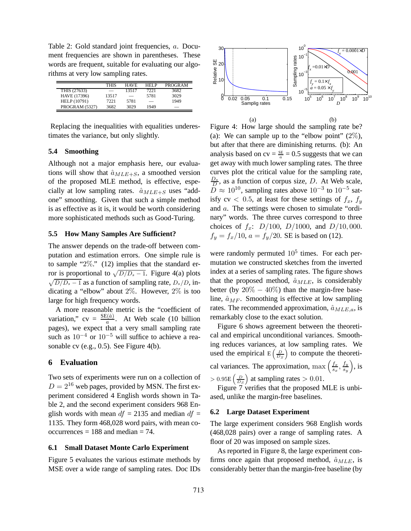Table 2: Gold standard joint frequencies, a. Document frequencies are shown in parentheses. These words are frequent, suitable for evaluating our algorithms at very low sampling rates.

|                     | <b>THIS</b> | <b>HAVE</b> | <b>HFIP</b> | <b>PROGRAM</b> |
|---------------------|-------------|-------------|-------------|----------------|
| THIS (27633)        |             | 13517       | 7221        | 3682           |
| HAVE (17396)        | 13517       |             | 5781        | 3029           |
| <b>HELP</b> (10791) | 7221        | 5781        |             | 1949           |
| PROGRAM (5327)      | 3682        | 3029        | 1949        |                |

Replacing the inequalities with equalities underestimates the variance, but only slightly.

### **5.4 Smoothing**

Although not a major emphasis here, our evaluations will show that  $\hat{a}_{MLE+S}$ , a smoothed version of the proposed MLE method, is effective, especially at low sampling rates.  $\hat{a}_{MLE+S}$  uses "addone" smoothing. Given that such a simple method is as effective as it is, it would be worth considering more sophisticated methods such as Good-Turing.

### **5.5 How Many Samples Are Sufficient?**

The answer depends on the trade-off between computation and estimation errors. One simple rule is to sample "2%." (12) implies that the standard error is proportional to  $\sqrt{D/D_s - 1}$ . Figure 4(a) plots  $\sqrt{D/D_s - 1}$  as a function of sampling rate,  $D_s/D$ , indicating a "elbow" about 2%. However, 2% is too large for high frequency words.

A more reasonable metric is the "coefficient of variation,"  $cv = \frac{SE(\hat{a})}{a}$ . At Web scale (10 billion pages), we expect that a very small sampling rate such as  $10^{-4}$  or  $10^{-5}$  will suffice to achieve a reasonable cv (e.g., 0.5). See Figure 4(b).

### **6 Evaluation**

Two sets of experiments were run on a collection of  $D = 2^{16}$  web pages, provided by MSN. The first experiment considered 4 English words shown in Table 2, and the second experiment considers 968 English words with mean  $df = 2135$  and median  $df =$ 1135. They form 468,028 word pairs, with mean co $occurrences = 188$  and median  $= 74$ .

#### **6.1 Small Dataset Monte Carlo Experiment**

Figure 5 evaluates the various estimate methods by MSE over a wide range of sampling rates. Doc IDs



(a) (b) Figure 4: How large should the sampling rate be? (a): We can sample up to the "elbow point"  $(2\%)$ , but after that there are diminishing returns. (b): An analysis based on  $cv = \frac{SE}{a} = 0.5$  suggests that we can get away with much lower sampling rates. The three curves plot the critical value for the sampling rate,  $\frac{D_s}{D}$ , as a function of corpus size, D. At Web scale,  $\overline{D} \approx 10^{10}$ , sampling rates above  $10^{-3}$  to  $10^{-5}$  satisfy cv < 0.5, at least for these settings of  $f_x$ ,  $f_y$ and a. The settings were chosen to simulate "ordinary" words. The three curves correspond to three choices of  $f_x$ :  $D/100$ ,  $D/1000$ , and  $D/10$ , 000.  $f_y = f_x/10$ ,  $a = f_y/20$ . SE is based on (12).

were randomly permuted  $10^5$  times. For each permutation we constructed sketches from the inverted index at a series of sampling rates. The figure shows that the proposed method,  $\hat{a}_{MLE}$ , is considerably better (by  $20\% - 40\%$ ) than the margin-free baseline,  $\hat{a}_{MF}$ . Smoothing is effective at low sampling rates. The recommended approximation,  $\hat{a}_{MLE,a}$ , is remarkably close to the exact solution.

Figure 6 shows agreement between the theoretical and empirical unconditional variances. Smoothing reduces variances, at low sampling rates. We used the empirical  $E\left(\frac{D}{D_S}\right)$  to compute the theoretical variances. The approximation,  $\max\left(\frac{f_x}{s_x}\right)$  $\frac{f_x}{s_x}, \frac{f_y}{s_y}$  $\frac{f_{y}}{s_{y}}\Big),$  is  $> 0.95E\left(\frac{D}{D_S}\right)$  at sampling rates  $> 0.01$ .

Figure 7 verifies that the proposed MLE is unbiased, unlike the margin-free baselines.

#### **6.2 Large Dataset Experiment**

The large experiment considers 968 English words (468,028 pairs) over a range of sampling rates. A floor of 20 was imposed on sample sizes.

As reported in Figure 8, the large experiment confirms once again that proposed method,  $\hat{a}_{MLE}$ , is considerably better than the margin-free baseline (by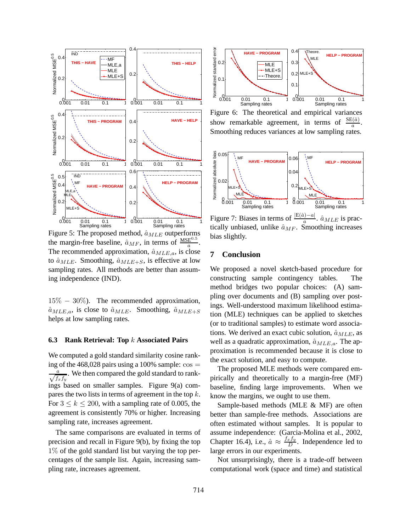

Figure 5: The proposed method,  $\hat{a}_{MLE}$  outperforms the margin-free baseline,  $\hat{a}_{MF}$ , in terms of  $\frac{\text{MSE}^{0.5}}{a}$ . The recommended approximation,  $\hat{a}_{MLE,a}$ , is close to  $\hat{a}_{MLE}$ . Smoothing,  $\hat{a}_{MLE+S}$ , is effective at low sampling rates. All methods are better than assuming independence (IND).

15% − 30%). The recommended approximation,  $\hat{a}_{MLE,a}$ , is close to  $\hat{a}_{MLE}$ . Smoothing,  $\hat{a}_{MLE+S}$ helps at low sampling rates.

# **6.3 Rank Retrieval: Top** k **Associated Pairs**

We computed a gold standard similarity cosine ranking of the 468,028 pairs using a 100% sample:  $\cos$  =  $\frac{a}{\sqrt{f_x f_y}}$ . We then compared the gold standard to rankings based on smaller samples. Figure 9(a) compares the two lists in terms of agreement in the top  $k$ . For  $3 \leq k \leq 200$ , with a sampling rate of 0.005, the agreement is consistently 70% or higher. Increasing sampling rate, increases agreement.

The same comparisons are evaluated in terms of precision and recall in Figure 9(b), by fixing the top 1% of the gold standard list but varying the top percentages of the sample list. Again, increasing sampling rate, increases agreement.



Figure 6: The theoretical and empirical variances show remarkable agreement, in terms of  $\frac{\text{SE}(\hat{a})}{a}$ . Smoothing reduces variances at low sampling rates.



Figure 7: Biases in terms of  $\frac{|E(\hat{a}) - a|}{a}$ .  $\hat{a}_{MLE}$  is practically unbiased, unlike  $\hat{a}_{MF}$ . Smoothing increases bias slightly.

### **7 Conclusion**

We proposed a novel sketch-based procedure for constructing sample contingency tables. The method bridges two popular choices: (A) sampling over documents and (B) sampling over postings. Well-understood maximum likelihood estimation (MLE) techniques can be applied to sketches (or to traditional samples) to estimate word associations. We derived an exact cubic solution,  $\hat{a}_{MLE}$ , as well as a quadratic approximation,  $\hat{a}_{MLE,a}$ . The approximation is recommended because it is close to the exact solution, and easy to compute.

The proposed MLE methods were compared empirically and theoretically to a margin-free (MF) baseline, finding large improvements. When we know the margins, we ought to use them.

Sample-based methods (MLE & MF) are often better than sample-free methods. Associations are often estimated without samples. It is popular to assume independence: (Garcia-Molina et al., 2002, Chapter 16.4), i.e.,  $\hat{a} \approx \frac{f_x f_y}{D}$  $\frac{x \, Jy}{D}$ . Independence led to large errors in our experiments.

Not unsurprisingly, there is a trade-off between computational work (space and time) and statistical